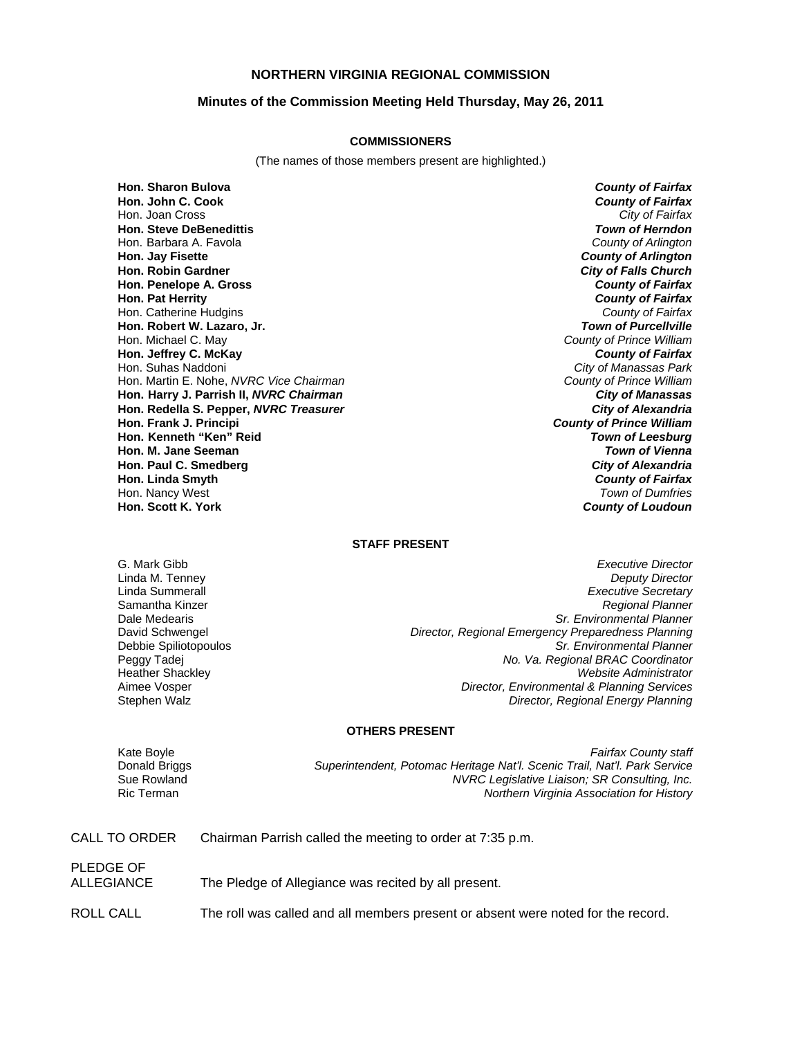## **NORTHERN VIRGINIA REGIONAL COMMISSION**

### **Minutes of the Commission Meeting Held Thursday, May 26, 2011**

#### **COMMISSIONERS**

(The names of those members present are highlighted.)

**Hon. Sharon Bulova** *County of Fairfax* **Hon. John C. Cook** *County of Fairfax* Hon. Joan Cross **Hon. Steve DeBenedittis** *Town of Herndon* Hon. Barbara A. Favola *County of Arlington* **Hon. Jay Fisette** *County of Arlington* **Hon. Robin Gardner** *City of Falls Church* **Hon. Penelope A. Gross** *County of Fairfax* **Hon. Pat Herrity** *County of Fairfax* Hon. Catherine Hudgins *County of Fairfax* **Hon. Robert W. Lazaro, Jr. Hon. Michael C. May Hon. Jeffrey C. McKay** *County of Fairfax* Hon. Suhas Naddoni *City of Manassas Park* Hon. Martin E. Nohe, *NVRC Vice Chairman* **Hon. Harry J. Parrish II,** *NVRC Chairman City of Manassas* **Hon. Redella S. Pepper,** *NVRC Treasurer City of Alexandria* **Hon. Kenneth "Ken" Reid** *Town of Leesburg* **Hon. M. Jane Seeman Hon. Paul C. Smedberg** *City of Alexandria* **Hon. Linda Smyth** *County of Fairfax* Hon. Nancy West *Town of Dumfries* **Hon. Scott K. York** *County of Loudoun*

**County of Prince William**<br>**County of Fairfax County of Prince William** 

#### **STAFF PRESENT**

G. Mark Gibb *Executive Director* Linda M. Tenney *Deputy Director* Linda Summerall *Executive Secretary* Samantha Kinzer *Regional Planner* Dale Medearis *Sr. Environmental Planner* David Schwengel *Director, Regional Emergency Preparedness Planning* **Sr. Environmental Planner** Peggy Tadej *No. Va. Regional BRAC Coordinator* Heather Shackley *Website Administrator* Aimee Vosper *Director, Environmental & Planning Services* **Director, Regional Energy Planning** 

#### **OTHERS PRESENT**

Kate Boyle *Fairfax County staff* Donald Briggs *Superintendent, Potomac Heritage Nat'l. Scenic Trail, Nat'l. Park Service* Sue Rowland *NVRC Legislative Liaison; SR Consulting, Inc.* **Northern Virginia Association for History** 

| CALL TO ORDER           | Chairman Parrish called the meeting to order at 7:35 p.m. |
|-------------------------|-----------------------------------------------------------|
| PLEDGE OF<br>ALLEGIANCE | The Pledge of Allegiance was recited by all present.      |

ROLL CALL The roll was called and all members present or absent were noted for the record.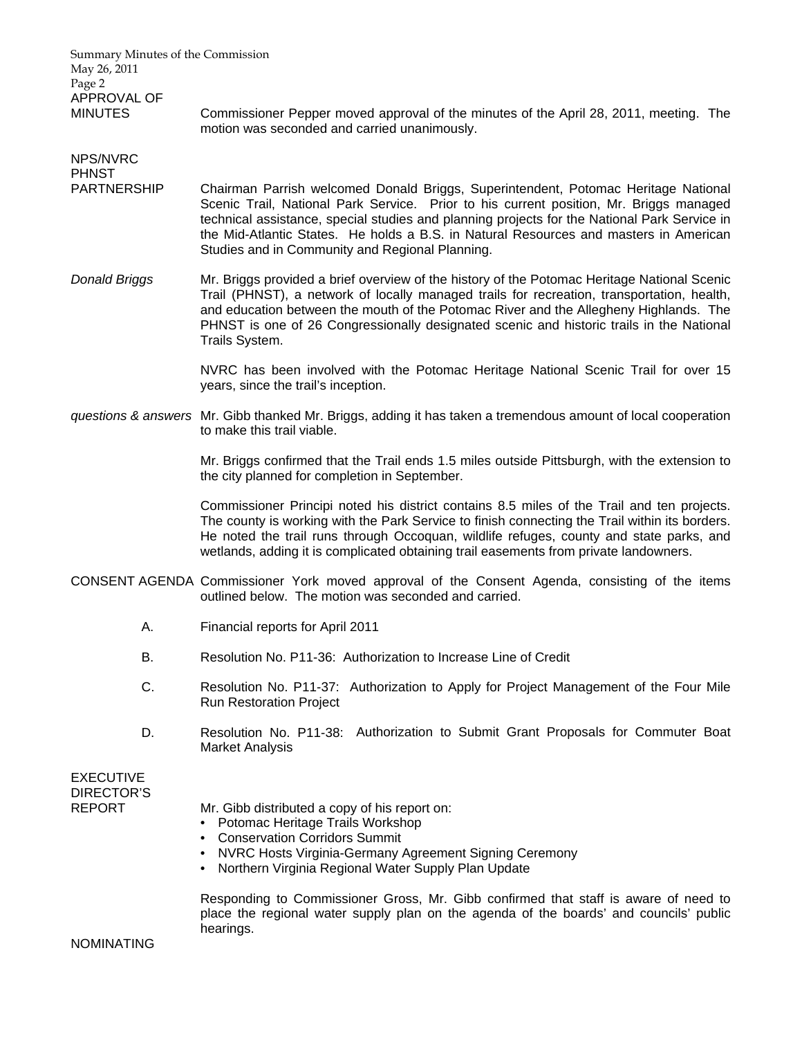| Summary Minutes of the Commission<br>May 26, 2011      |    |                                                                                                                                                                                                                                                                                                                                                                                                                             |
|--------------------------------------------------------|----|-----------------------------------------------------------------------------------------------------------------------------------------------------------------------------------------------------------------------------------------------------------------------------------------------------------------------------------------------------------------------------------------------------------------------------|
| Page 2<br>APPROVAL OF<br><b>MINUTES</b>                |    | Commissioner Pepper moved approval of the minutes of the April 28, 2011, meeting. The<br>motion was seconded and carried unanimously.                                                                                                                                                                                                                                                                                       |
| NPS/NVRC<br><b>PHNST</b>                               |    |                                                                                                                                                                                                                                                                                                                                                                                                                             |
| <b>PARTNERSHIP</b>                                     |    | Chairman Parrish welcomed Donald Briggs, Superintendent, Potomac Heritage National<br>Scenic Trail, National Park Service. Prior to his current position, Mr. Briggs managed<br>technical assistance, special studies and planning projects for the National Park Service in<br>the Mid-Atlantic States. He holds a B.S. in Natural Resources and masters in American<br>Studies and in Community and Regional Planning.    |
| <b>Donald Briggs</b>                                   |    | Mr. Briggs provided a brief overview of the history of the Potomac Heritage National Scenic<br>Trail (PHNST), a network of locally managed trails for recreation, transportation, health,<br>and education between the mouth of the Potomac River and the Allegheny Highlands. The<br>PHNST is one of 26 Congressionally designated scenic and historic trails in the National<br>Trails System.                            |
|                                                        |    | NVRC has been involved with the Potomac Heritage National Scenic Trail for over 15<br>years, since the trail's inception.                                                                                                                                                                                                                                                                                                   |
|                                                        |    | questions & answers Mr. Gibb thanked Mr. Briggs, adding it has taken a tremendous amount of local cooperation<br>to make this trail viable.                                                                                                                                                                                                                                                                                 |
|                                                        |    | Mr. Briggs confirmed that the Trail ends 1.5 miles outside Pittsburgh, with the extension to<br>the city planned for completion in September.                                                                                                                                                                                                                                                                               |
|                                                        |    | Commissioner Principi noted his district contains 8.5 miles of the Trail and ten projects.<br>The county is working with the Park Service to finish connecting the Trail within its borders.<br>He noted the trail runs through Occoquan, wildlife refuges, county and state parks, and<br>wetlands, adding it is complicated obtaining trail easements from private landowners.                                            |
|                                                        |    | CONSENT AGENDA Commissioner York moved approval of the Consent Agenda, consisting of the items<br>outlined below. The motion was seconded and carried.                                                                                                                                                                                                                                                                      |
|                                                        | А. | Financial reports for April 2011                                                                                                                                                                                                                                                                                                                                                                                            |
|                                                        | В. | Resolution No. P11-36: Authorization to Increase Line of Credit                                                                                                                                                                                                                                                                                                                                                             |
|                                                        | C. | Resolution No. P11-37: Authorization to Apply for Project Management of the Four Mile<br><b>Run Restoration Project</b>                                                                                                                                                                                                                                                                                                     |
|                                                        | D. | Resolution No. P11-38: Authorization to Submit Grant Proposals for Commuter Boat<br><b>Market Analysis</b>                                                                                                                                                                                                                                                                                                                  |
| <b>EXECUTIVE</b><br><b>DIRECTOR'S</b><br><b>REPORT</b> |    | Mr. Gibb distributed a copy of his report on:<br>Potomac Heritage Trails Workshop<br><b>Conservation Corridors Summit</b><br>NVRC Hosts Virginia-Germany Agreement Signing Ceremony<br>Northern Virginia Regional Water Supply Plan Update<br>Responding to Commissioner Gross, Mr. Gibb confirmed that staff is aware of need to<br>place the regional water supply plan on the agenda of the boards' and councils' public |
| <b>NOMINATING</b>                                      |    | hearings.                                                                                                                                                                                                                                                                                                                                                                                                                   |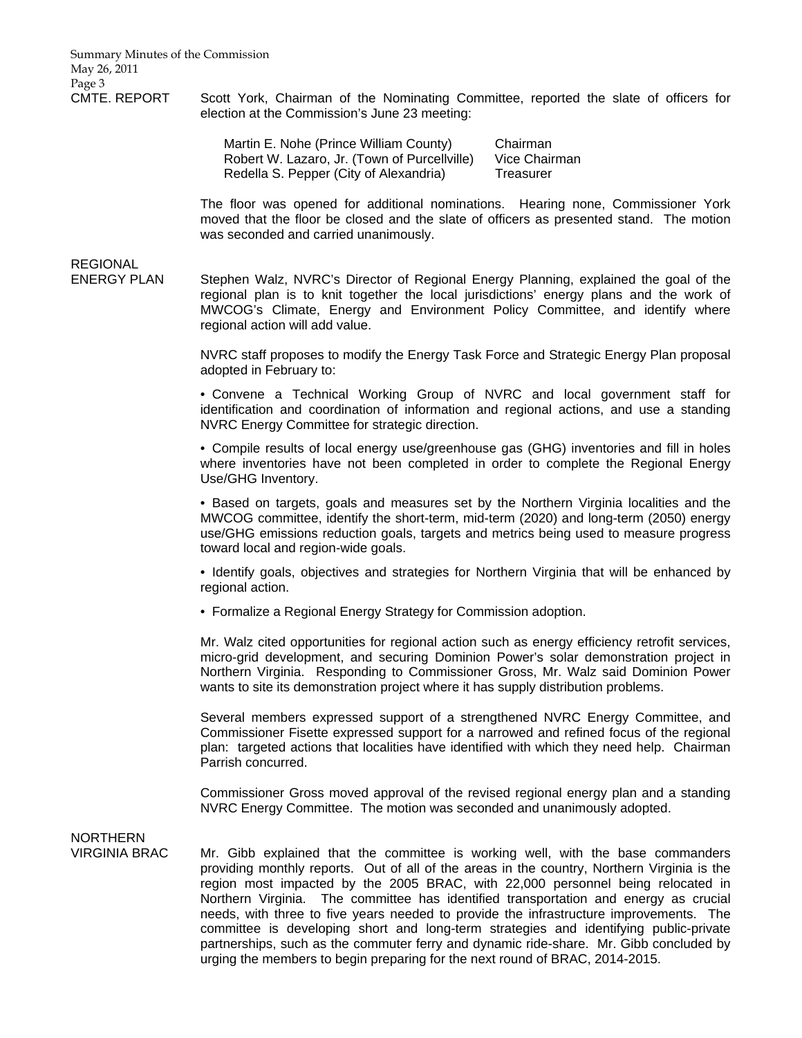Summary Minutes of the Commission May 26, 2011 Page 3

CMTE. REPORT Scott York, Chairman of the Nominating Committee, reported the slate of officers for election at the Commission's June 23 meeting:

> Martin E. Nohe (Prince William County) Chairman Robert W. Lazaro, Jr. (Town of Purcellville) Vice Chairman Redella S. Pepper (City of Alexandria) Treasurer

The floor was opened for additional nominations. Hearing none, Commissioner York moved that the floor be closed and the slate of officers as presented stand. The motion was seconded and carried unanimously.

## **REGIONAL**

ENERGY PLAN Stephen Walz, NVRC's Director of Regional Energy Planning, explained the goal of the regional plan is to knit together the local jurisdictions' energy plans and the work of MWCOG's Climate, Energy and Environment Policy Committee, and identify where regional action will add value.

> NVRC staff proposes to modify the Energy Task Force and Strategic Energy Plan proposal adopted in February to:

> • Convene a Technical Working Group of NVRC and local government staff for identification and coordination of information and regional actions, and use a standing NVRC Energy Committee for strategic direction.

> • Compile results of local energy use/greenhouse gas (GHG) inventories and fill in holes where inventories have not been completed in order to complete the Regional Energy Use/GHG Inventory.

> • Based on targets, goals and measures set by the Northern Virginia localities and the MWCOG committee, identify the short-term, mid-term (2020) and long-term (2050) energy use/GHG emissions reduction goals, targets and metrics being used to measure progress toward local and region-wide goals.

> • Identify goals, objectives and strategies for Northern Virginia that will be enhanced by regional action.

• Formalize a Regional Energy Strategy for Commission adoption.

Mr. Walz cited opportunities for regional action such as energy efficiency retrofit services, micro-grid development, and securing Dominion Power's solar demonstration project in Northern Virginia. Responding to Commissioner Gross, Mr. Walz said Dominion Power wants to site its demonstration project where it has supply distribution problems.

Several members expressed support of a strengthened NVRC Energy Committee, and Commissioner Fisette expressed support for a narrowed and refined focus of the regional plan: targeted actions that localities have identified with which they need help. Chairman Parrish concurred.

Commissioner Gross moved approval of the revised regional energy plan and a standing NVRC Energy Committee. The motion was seconded and unanimously adopted.

# NORTHERN

VIRGINIA BRAC Mr. Gibb explained that the committee is working well, with the base commanders providing monthly reports. Out of all of the areas in the country, Northern Virginia is the region most impacted by the 2005 BRAC, with 22,000 personnel being relocated in Northern Virginia. The committee has identified transportation and energy as crucial needs, with three to five years needed to provide the infrastructure improvements. The committee is developing short and long-term strategies and identifying public-private partnerships, such as the commuter ferry and dynamic ride-share. Mr. Gibb concluded by urging the members to begin preparing for the next round of BRAC, 2014-2015.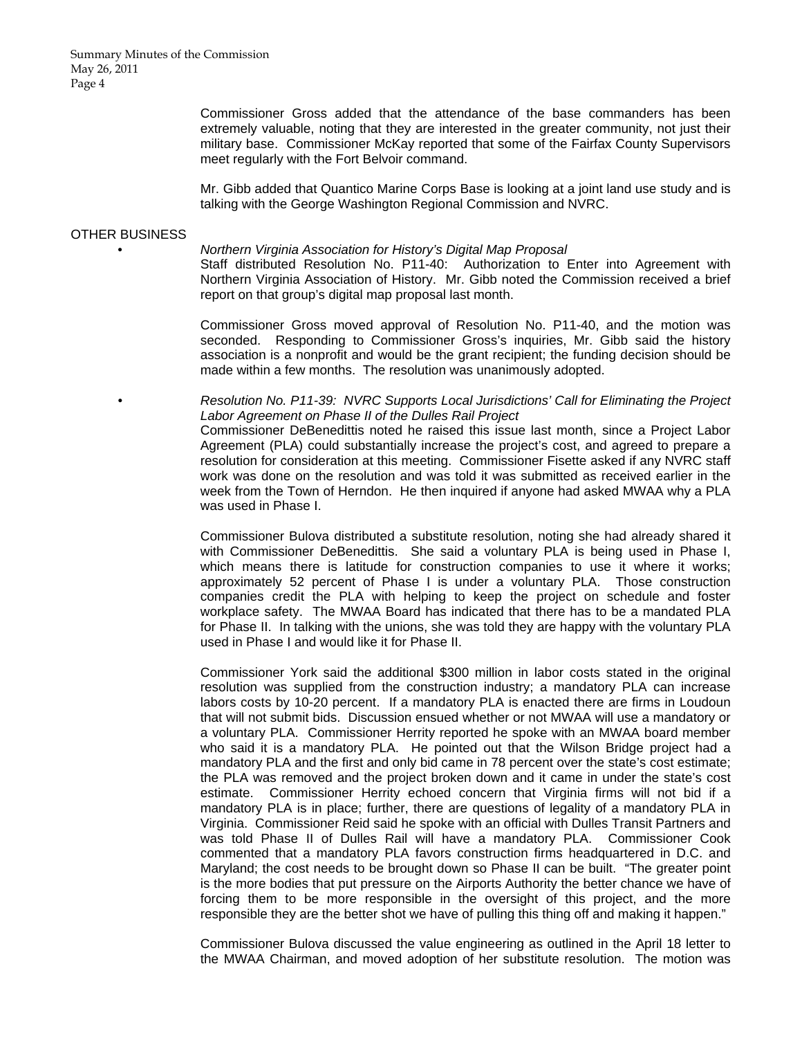Summary Minutes of the Commission May 26, 2011 Page 4

> Commissioner Gross added that the attendance of the base commanders has been extremely valuable, noting that they are interested in the greater community, not just their military base. Commissioner McKay reported that some of the Fairfax County Supervisors meet regularly with the Fort Belvoir command.

> Mr. Gibb added that Quantico Marine Corps Base is looking at a joint land use study and is talking with the George Washington Regional Commission and NVRC.

#### OTHER BUSINESS

#### • *Northern Virginia Association for History's Digital Map Proposal*

 Staff distributed Resolution No. P11-40: Authorization to Enter into Agreement with Northern Virginia Association of History. Mr. Gibb noted the Commission received a brief report on that group's digital map proposal last month.

 Commissioner Gross moved approval of Resolution No. P11-40, and the motion was seconded. Responding to Commissioner Gross's inquiries, Mr. Gibb said the history association is a nonprofit and would be the grant recipient; the funding decision should be made within a few months. The resolution was unanimously adopted.

 • *Resolution No. P11-39: NVRC Supports Local Jurisdictions' Call for Eliminating the Project Labor Agreement on Phase II of the Dulles Rail Project* Commissioner DeBenedittis noted he raised this issue last month, since a Project Labor Agreement (PLA) could substantially increase the project's cost, and agreed to prepare a resolution for consideration at this meeting. Commissioner Fisette asked if any NVRC staff work was done on the resolution and was told it was submitted as received earlier in the week from the Town of Herndon. He then inquired if anyone had asked MWAA why a PLA was used in Phase I.

 Commissioner Bulova distributed a substitute resolution, noting she had already shared it with Commissioner DeBenedittis. She said a voluntary PLA is being used in Phase I, which means there is latitude for construction companies to use it where it works; approximately 52 percent of Phase I is under a voluntary PLA. Those construction companies credit the PLA with helping to keep the project on schedule and foster workplace safety. The MWAA Board has indicated that there has to be a mandated PLA for Phase II. In talking with the unions, she was told they are happy with the voluntary PLA used in Phase I and would like it for Phase II.

 Commissioner York said the additional \$300 million in labor costs stated in the original resolution was supplied from the construction industry; a mandatory PLA can increase labors costs by 10-20 percent. If a mandatory PLA is enacted there are firms in Loudoun that will not submit bids. Discussion ensued whether or not MWAA will use a mandatory or a voluntary PLA. Commissioner Herrity reported he spoke with an MWAA board member who said it is a mandatory PLA. He pointed out that the Wilson Bridge project had a mandatory PLA and the first and only bid came in 78 percent over the state's cost estimate; the PLA was removed and the project broken down and it came in under the state's cost estimate. Commissioner Herrity echoed concern that Virginia firms will not bid if a mandatory PLA is in place; further, there are questions of legality of a mandatory PLA in Virginia. Commissioner Reid said he spoke with an official with Dulles Transit Partners and was told Phase II of Dulles Rail will have a mandatory PLA. Commissioner Cook commented that a mandatory PLA favors construction firms headquartered in D.C. and Maryland; the cost needs to be brought down so Phase II can be built. "The greater point is the more bodies that put pressure on the Airports Authority the better chance we have of forcing them to be more responsible in the oversight of this project, and the more responsible they are the better shot we have of pulling this thing off and making it happen."

 Commissioner Bulova discussed the value engineering as outlined in the April 18 letter to the MWAA Chairman, and moved adoption of her substitute resolution. The motion was